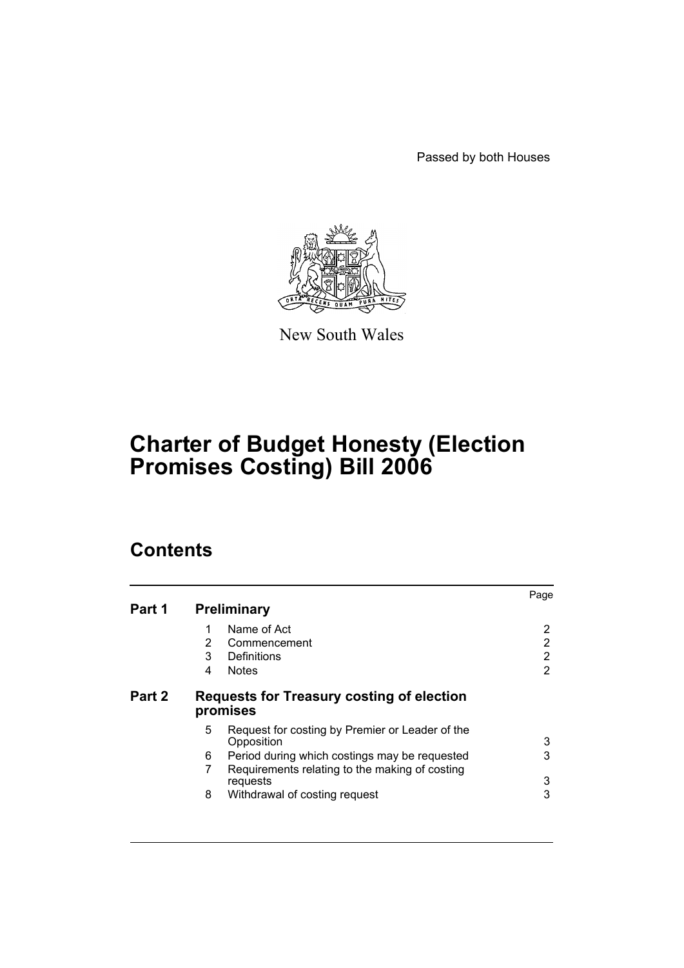Passed by both Houses



New South Wales

# **Charter of Budget Honesty (Election Promises Costing) Bill 2006**

## **Contents**

|        |                                                                    | Page |  |
|--------|--------------------------------------------------------------------|------|--|
| Part 1 | <b>Preliminary</b>                                                 |      |  |
|        | Name of Act<br>1                                                   | 2    |  |
|        | 2<br>Commencement                                                  | 2    |  |
|        | 3<br>Definitions                                                   | 2    |  |
|        | <b>Notes</b><br>4                                                  | 2    |  |
| Part 2 | Requests for Treasury costing of election<br>promises              |      |  |
|        | 5<br>Request for costing by Premier or Leader of the<br>Opposition | 3    |  |
|        | 6<br>Period during which costings may be requested                 | 3    |  |
|        | 7<br>Requirements relating to the making of costing                |      |  |
|        | requests                                                           | 3    |  |
|        | 8<br>Withdrawal of costing request                                 | 3    |  |
|        |                                                                    |      |  |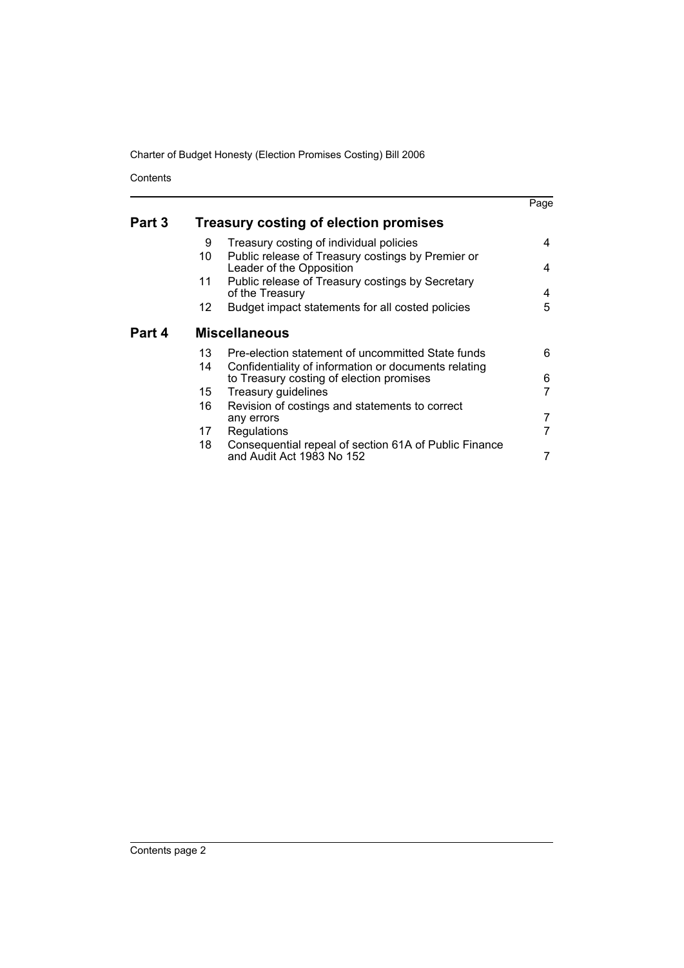Charter of Budget Honesty (Election Promises Costing) Bill 2006

Contents

|        |                      |                                                                                                  | Page |  |  |
|--------|----------------------|--------------------------------------------------------------------------------------------------|------|--|--|
| Part 3 |                      | <b>Treasury costing of election promises</b>                                                     |      |  |  |
|        | 9                    | Treasury costing of individual policies                                                          | 4    |  |  |
|        | 10                   | Public release of Treasury costings by Premier or<br>Leader of the Opposition                    | 4    |  |  |
|        | 11                   | Public release of Treasury costings by Secretary<br>of the Treasury                              | 4    |  |  |
|        | 12.                  | Budget impact statements for all costed policies                                                 | 5    |  |  |
| Part 4 | <b>Miscellaneous</b> |                                                                                                  |      |  |  |
|        | 13                   | Pre-election statement of uncommitted State funds                                                | 6    |  |  |
|        | 14                   | Confidentiality of information or documents relating<br>to Treasury costing of election promises | 6    |  |  |
|        | 15                   | Treasury guidelines                                                                              |      |  |  |
|        | 16                   | Revision of costings and statements to correct                                                   |      |  |  |
|        |                      | any errors                                                                                       |      |  |  |
|        | 17                   | Regulations                                                                                      |      |  |  |
|        | 18.                  | Consequential repeal of section 61A of Public Finance<br>and Audit Act 1983 No 152               |      |  |  |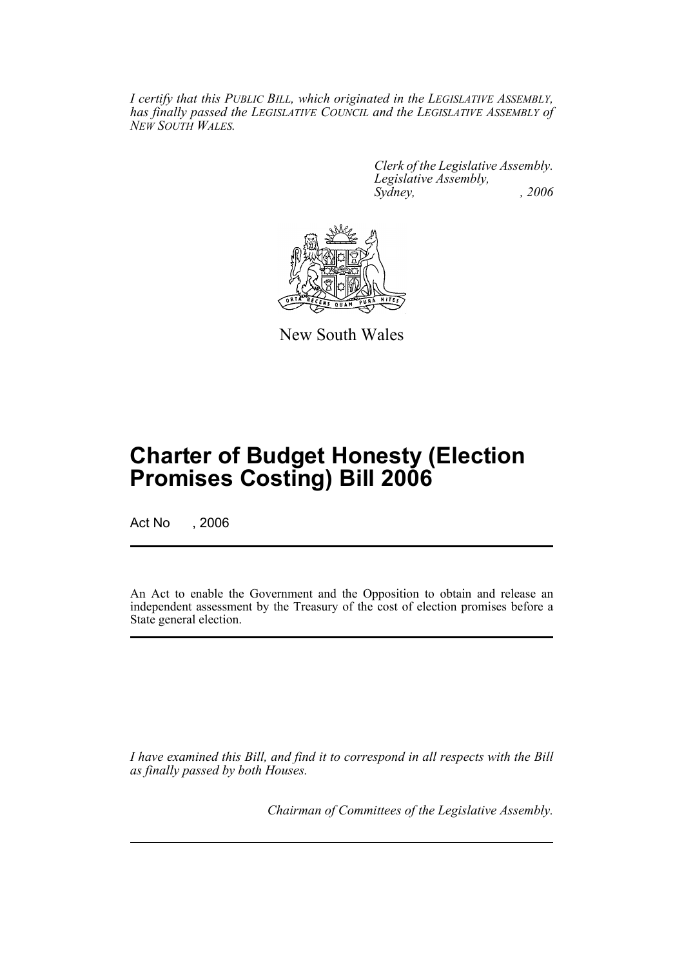*I certify that this PUBLIC BILL, which originated in the LEGISLATIVE ASSEMBLY, has finally passed the LEGISLATIVE COUNCIL and the LEGISLATIVE ASSEMBLY of NEW SOUTH WALES.*

> *Clerk of the Legislative Assembly. Legislative Assembly, Sydney, , 2006*



New South Wales

## **Charter of Budget Honesty (Election Promises Costing) Bill 2006**

Act No . 2006

An Act to enable the Government and the Opposition to obtain and release an independent assessment by the Treasury of the cost of election promises before a State general election.

*I have examined this Bill, and find it to correspond in all respects with the Bill as finally passed by both Houses.*

*Chairman of Committees of the Legislative Assembly.*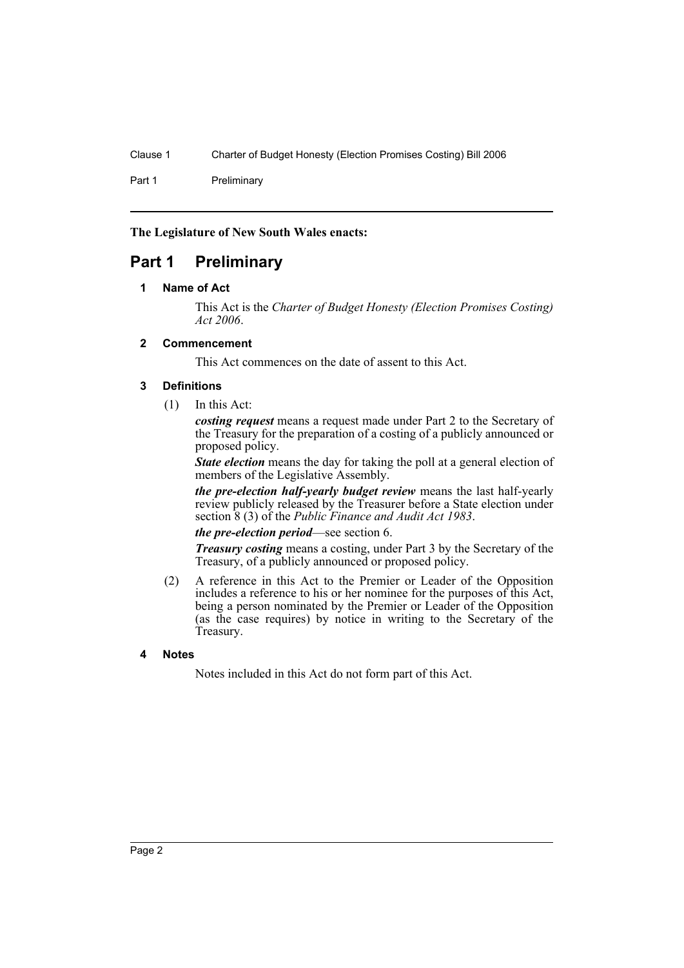Part 1 Preliminary

**The Legislature of New South Wales enacts:**

### **Part 1 Preliminary**

### **1 Name of Act**

This Act is the *Charter of Budget Honesty (Election Promises Costing) Act 2006*.

### **2 Commencement**

This Act commences on the date of assent to this Act.

### **3 Definitions**

(1) In this Act:

*costing request* means a request made under Part 2 to the Secretary of the Treasury for the preparation of a costing of a publicly announced or proposed policy.

*State election* means the day for taking the poll at a general election of members of the Legislative Assembly.

*the pre-election half-yearly budget review* means the last half-yearly review publicly released by the Treasurer before a State election under section 8 (3) of the *Public Finance and Audit Act 1983*.

### *the pre-election period*—see section 6.

*Treasury costing* means a costing, under Part 3 by the Secretary of the Treasury, of a publicly announced or proposed policy.

(2) A reference in this Act to the Premier or Leader of the Opposition includes a reference to his or her nominee for the purposes of this Act, being a person nominated by the Premier or Leader of the Opposition (as the case requires) by notice in writing to the Secretary of the Treasury.

### **4 Notes**

Notes included in this Act do not form part of this Act.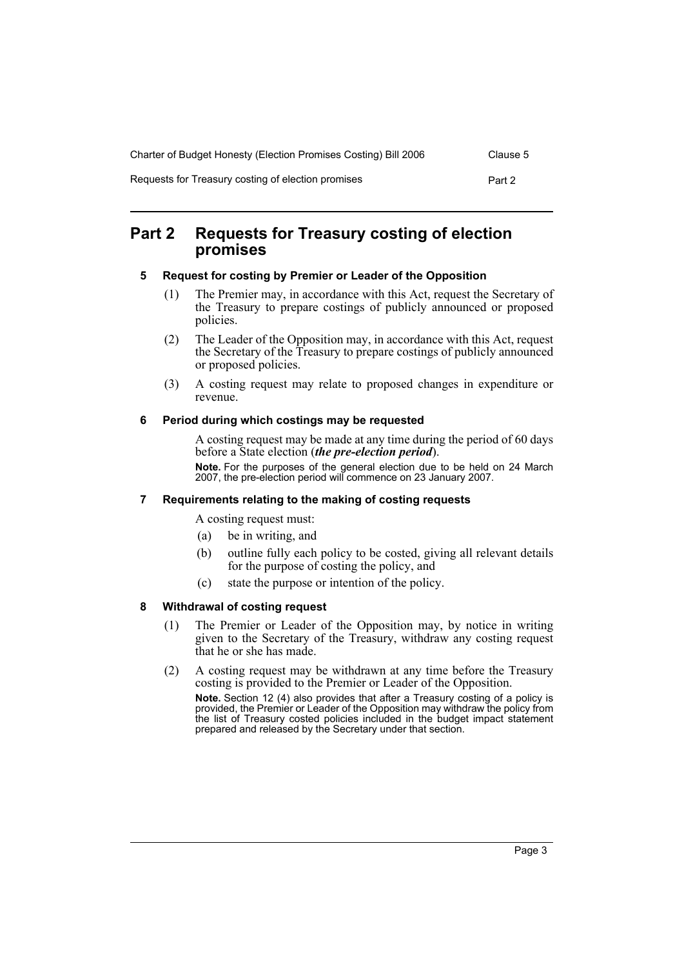| Charter of Budget Honesty (Election Promises Costing) Bill 2006 | Clause 5 |
|-----------------------------------------------------------------|----------|
| Requests for Treasury costing of election promises              | Part 2   |

### **Part 2 Requests for Treasury costing of election promises**

### **5 Request for costing by Premier or Leader of the Opposition**

- (1) The Premier may, in accordance with this Act, request the Secretary of the Treasury to prepare costings of publicly announced or proposed policies.
- (2) The Leader of the Opposition may, in accordance with this Act, request the Secretary of the Treasury to prepare costings of publicly announced or proposed policies.
- (3) A costing request may relate to proposed changes in expenditure or revenue.

### **6 Period during which costings may be requested**

A costing request may be made at any time during the period of 60 days before a State election (*the pre-election period*).

**Note.** For the purposes of the general election due to be held on 24 March 2007, the pre-election period will commence on 23 January 2007.

### **7 Requirements relating to the making of costing requests**

A costing request must:

- (a) be in writing, and
- (b) outline fully each policy to be costed, giving all relevant details for the purpose of costing the policy, and
- (c) state the purpose or intention of the policy.

### **8 Withdrawal of costing request**

- (1) The Premier or Leader of the Opposition may, by notice in writing given to the Secretary of the Treasury, withdraw any costing request that he or she has made.
- (2) A costing request may be withdrawn at any time before the Treasury costing is provided to the Premier or Leader of the Opposition.

**Note.** Section 12 (4) also provides that after a Treasury costing of a policy is provided, the Premier or Leader of the Opposition may withdraw the policy from the list of Treasury costed policies included in the budget impact statement prepared and released by the Secretary under that section.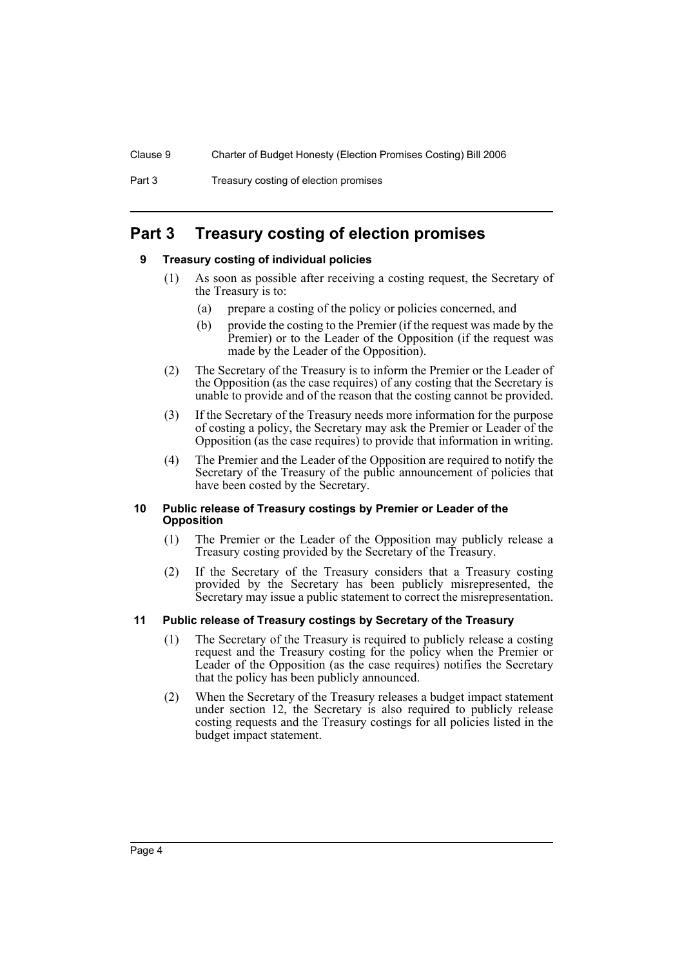### **Part 3 Treasury costing of election promises**

### **9 Treasury costing of individual policies**

- (1) As soon as possible after receiving a costing request, the Secretary of the Treasury is to:
	- (a) prepare a costing of the policy or policies concerned, and
	- (b) provide the costing to the Premier (if the request was made by the Premier) or to the Leader of the Opposition (if the request was made by the Leader of the Opposition).
- (2) The Secretary of the Treasury is to inform the Premier or the Leader of the Opposition (as the case requires) of any costing that the Secretary is unable to provide and of the reason that the costing cannot be provided.
- (3) If the Secretary of the Treasury needs more information for the purpose of costing a policy, the Secretary may ask the Premier or Leader of the Opposition (as the case requires) to provide that information in writing.
- (4) The Premier and the Leader of the Opposition are required to notify the Secretary of the Treasury of the public announcement of policies that have been costed by the Secretary.

#### **10 Public release of Treasury costings by Premier or Leader of the Opposition**

- (1) The Premier or the Leader of the Opposition may publicly release a Treasury costing provided by the Secretary of the Treasury.
- (2) If the Secretary of the Treasury considers that a Treasury costing provided by the Secretary has been publicly misrepresented, the Secretary may issue a public statement to correct the misrepresentation.

### **11 Public release of Treasury costings by Secretary of the Treasury**

- (1) The Secretary of the Treasury is required to publicly release a costing request and the Treasury costing for the policy when the Premier or Leader of the Opposition (as the case requires) notifies the Secretary that the policy has been publicly announced.
- (2) When the Secretary of the Treasury releases a budget impact statement under section 12, the Secretary is also required to publicly release costing requests and the Treasury costings for all policies listed in the budget impact statement.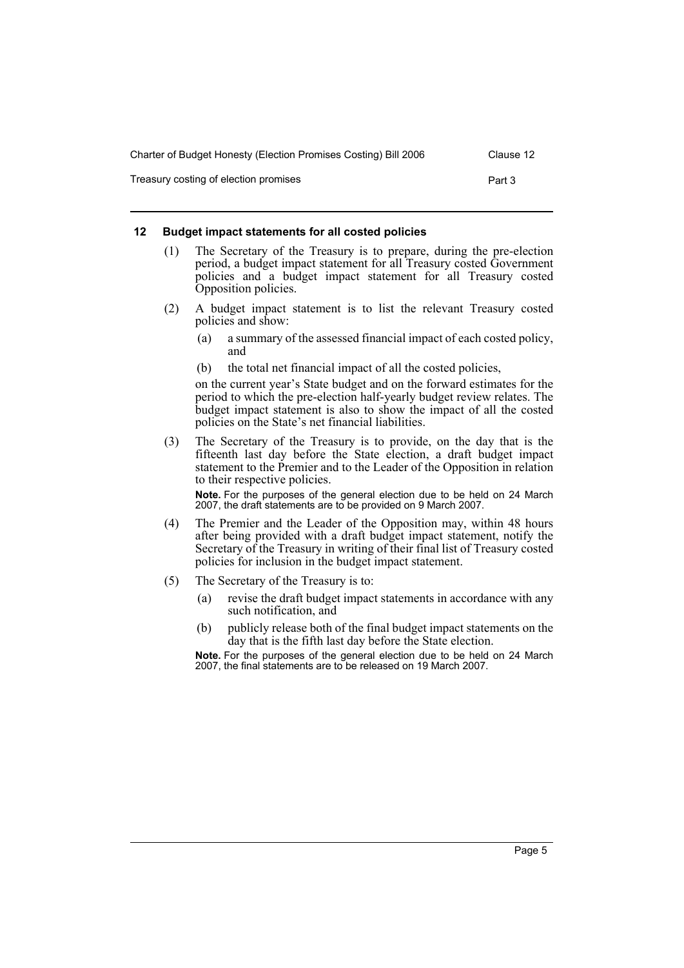| Charter of Budget Honesty (Election Promises Costing) Bill 2006 | Clause 12 |
|-----------------------------------------------------------------|-----------|
| Treasury costing of election promises                           | Part 3    |

### **12 Budget impact statements for all costed policies**

- (1) The Secretary of the Treasury is to prepare, during the pre-election period, a budget impact statement for all Treasury costed Government policies and a budget impact statement for all Treasury costed Opposition policies.
- (2) A budget impact statement is to list the relevant Treasury costed policies and show:
	- (a) a summary of the assessed financial impact of each costed policy, and
	- (b) the total net financial impact of all the costed policies,

on the current year's State budget and on the forward estimates for the period to which the pre-election half-yearly budget review relates. The budget impact statement is also to show the impact of all the costed policies on the State's net financial liabilities.

(3) The Secretary of the Treasury is to provide, on the day that is the fifteenth last day before the State election, a draft budget impact statement to the Premier and to the Leader of the Opposition in relation to their respective policies.

**Note.** For the purposes of the general election due to be held on 24 March 2007, the draft statements are to be provided on 9 March 2007.

- (4) The Premier and the Leader of the Opposition may, within 48 hours after being provided with a draft budget impact statement, notify the Secretary of the Treasury in writing of their final list of Treasury costed policies for inclusion in the budget impact statement.
- (5) The Secretary of the Treasury is to:
	- (a) revise the draft budget impact statements in accordance with any such notification, and
	- (b) publicly release both of the final budget impact statements on the day that is the fifth last day before the State election.

**Note.** For the purposes of the general election due to be held on 24 March 2007, the final statements are to be released on 19 March 2007.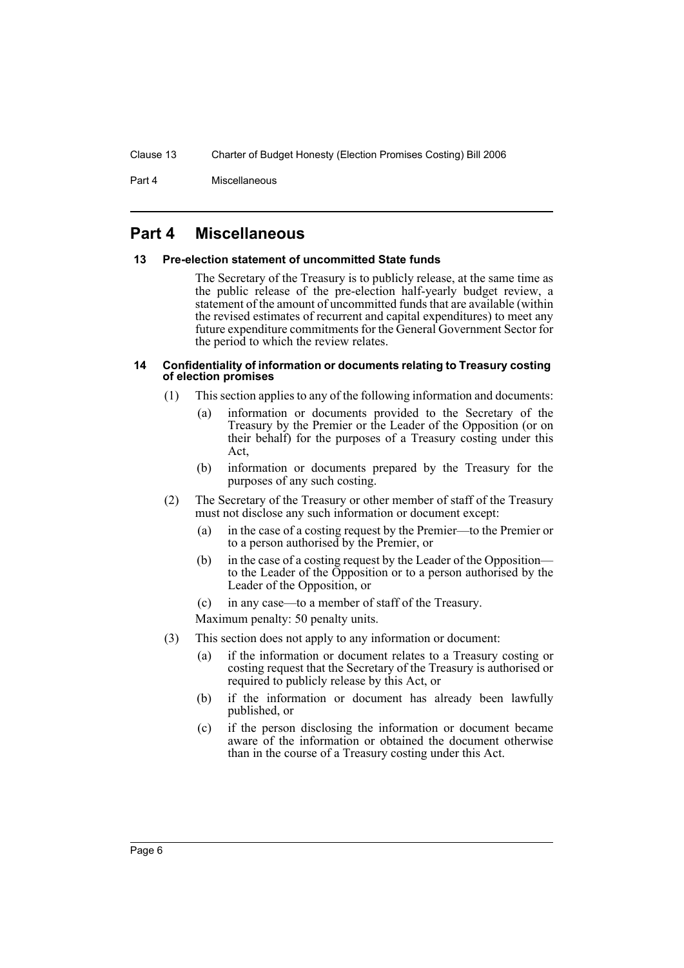Part 4 Miscellaneous

### **Part 4 Miscellaneous**

### **13 Pre-election statement of uncommitted State funds**

The Secretary of the Treasury is to publicly release, at the same time as the public release of the pre-election half-yearly budget review, a statement of the amount of uncommitted funds that are available (within the revised estimates of recurrent and capital expenditures) to meet any future expenditure commitments for the General Government Sector for the period to which the review relates.

#### **14 Confidentiality of information or documents relating to Treasury costing of election promises**

- (1) This section applies to any of the following information and documents:
	- (a) information or documents provided to the Secretary of the Treasury by the Premier or the Leader of the Opposition (or on their behalf) for the purposes of a Treasury costing under this Act,
	- (b) information or documents prepared by the Treasury for the purposes of any such costing.
- (2) The Secretary of the Treasury or other member of staff of the Treasury must not disclose any such information or document except:
	- (a) in the case of a costing request by the Premier—to the Premier or to a person authorised by the Premier, or
	- (b) in the case of a costing request by the Leader of the Opposition to the Leader of the Opposition or to a person authorised by the Leader of the Opposition, or
	- (c) in any case—to a member of staff of the Treasury.
	- Maximum penalty: 50 penalty units.
- (3) This section does not apply to any information or document:
	- (a) if the information or document relates to a Treasury costing or costing request that the Secretary of the Treasury is authorised or required to publicly release by this Act, or
	- (b) if the information or document has already been lawfully published, or
	- (c) if the person disclosing the information or document became aware of the information or obtained the document otherwise than in the course of a Treasury costing under this Act.